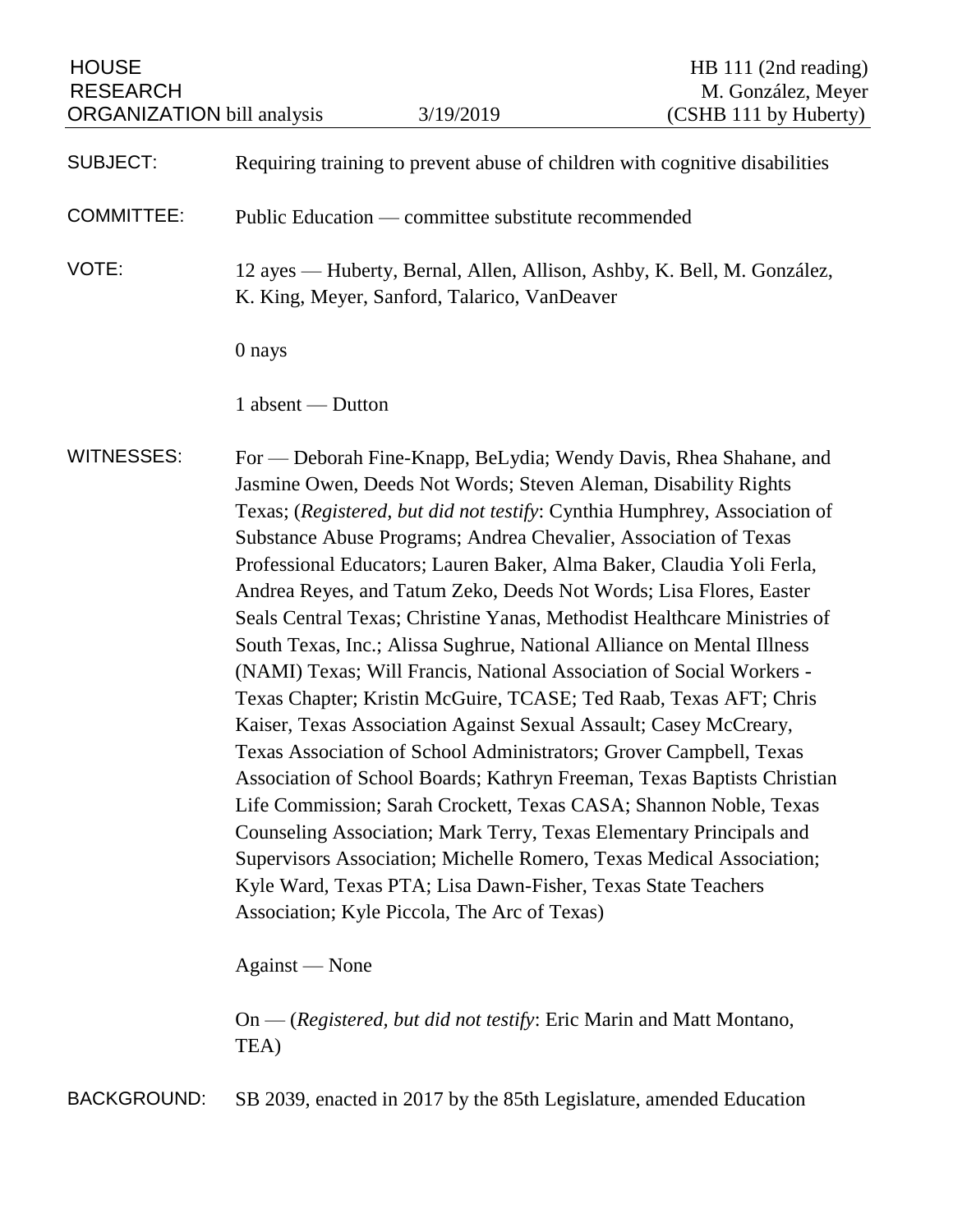HOUSE HOUSE HE 111 (2nd reading) RESEARCH M. González, Meyer ORGANIZATION bill analysis 3/19/2019 (CSHB 111 by Huberty)

SUBJECT: Requiring training to prevent abuse of children with cognitive disabilities

COMMITTEE: Public Education — committee substitute recommended

VOTE: 12 ayes — Huberty, Bernal, Allen, Allison, Ashby, K. Bell, M. González, K. King, Meyer, Sanford, Talarico, VanDeaver

0 nays

1 absent — Dutton

WITNESSES: For — Deborah Fine-Knapp, BeLydia; Wendy Davis, Rhea Shahane, and Jasmine Owen, Deeds Not Words; Steven Aleman, Disability Rights Texas; (*Registered, but did not testify*: Cynthia Humphrey, Association of Substance Abuse Programs; Andrea Chevalier, Association of Texas Professional Educators; Lauren Baker, Alma Baker, Claudia Yoli Ferla, Andrea Reyes, and Tatum Zeko, Deeds Not Words; Lisa Flores, Easter Seals Central Texas; Christine Yanas, Methodist Healthcare Ministries of South Texas, Inc.; Alissa Sughrue, National Alliance on Mental Illness (NAMI) Texas; Will Francis, National Association of Social Workers - Texas Chapter; Kristin McGuire, TCASE; Ted Raab, Texas AFT; Chris Kaiser, Texas Association Against Sexual Assault; Casey McCreary, Texas Association of School Administrators; Grover Campbell, Texas Association of School Boards; Kathryn Freeman, Texas Baptists Christian Life Commission; Sarah Crockett, Texas CASA; Shannon Noble, Texas Counseling Association; Mark Terry, Texas Elementary Principals and Supervisors Association; Michelle Romero, Texas Medical Association; Kyle Ward, Texas PTA; Lisa Dawn-Fisher, Texas State Teachers Association; Kyle Piccola, The Arc of Texas)

Against — None

On — (*Registered, but did not testify*: Eric Marin and Matt Montano, TEA)

BACKGROUND: SB 2039, enacted in 2017 by the 85th Legislature, amended Education